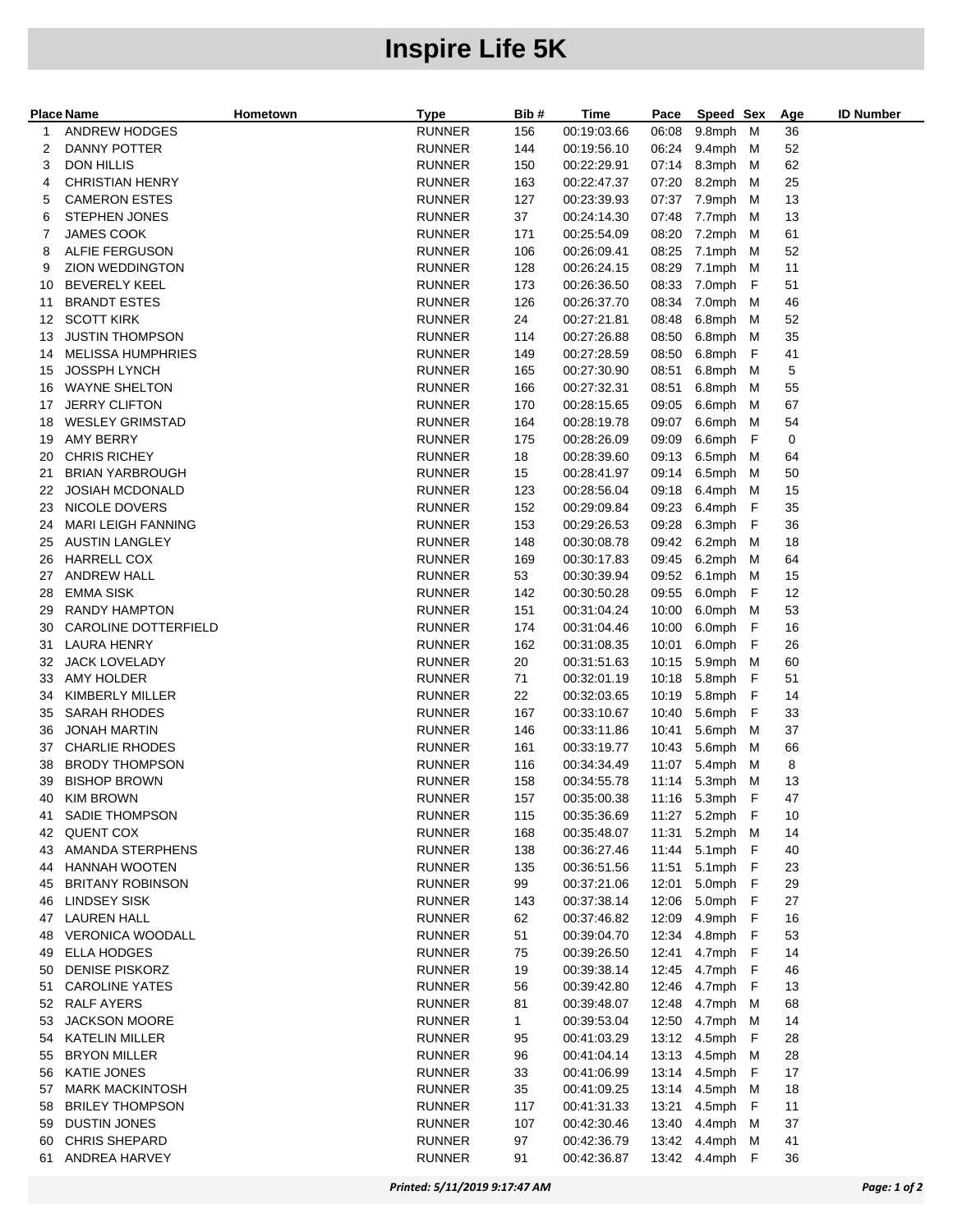## **Inspire Life 5K**

|    | <b>Place Name</b>         | Hometown | <b>Type</b>   | Bib #        | Time        | Pace  | Speed Sex        |   | Age | <b>ID Number</b> |
|----|---------------------------|----------|---------------|--------------|-------------|-------|------------------|---|-----|------------------|
| 1  | ANDREW HODGES             |          | <b>RUNNER</b> | 156          | 00:19:03.66 | 06:08 | 9.8mph M         |   | 36  |                  |
| 2  | <b>DANNY POTTER</b>       |          | <b>RUNNER</b> | 144          | 00:19:56.10 |       | 06:24 9.4mph M   |   | 52  |                  |
| 3  | DON HILLIS                |          | <b>RUNNER</b> | 150          | 00:22:29.91 |       | 07:14 8.3mph M   |   | 62  |                  |
| 4  | <b>CHRISTIAN HENRY</b>    |          | <b>RUNNER</b> | 163          | 00:22:47.37 | 07:20 | 8.2mph           | м | 25  |                  |
| 5  | <b>CAMERON ESTES</b>      |          | <b>RUNNER</b> | 127          | 00:23:39.93 |       | 07:37 7.9mph     | м | 13  |                  |
| 6  | <b>STEPHEN JONES</b>      |          | <b>RUNNER</b> | 37           | 00:24:14.30 | 07:48 | 7.7mph           | M | 13  |                  |
| 7  | JAMES COOK                |          | <b>RUNNER</b> | 171          | 00:25:54.09 | 08:20 | 7.2mph           | M | 61  |                  |
| 8  | ALFIE FERGUSON            |          | <b>RUNNER</b> | 106          | 00:26:09.41 | 08:25 | 7.1mph           | M | 52  |                  |
| 9  | <b>ZION WEDDINGTON</b>    |          | RUNNER        | 128          | 00:26:24.15 | 08:29 | 7.1mph M         |   | 11  |                  |
| 10 | <b>BEVERELY KEEL</b>      |          | <b>RUNNER</b> | 173          | 00:26:36.50 | 08:33 | 7.0mph F         |   | 51  |                  |
| 11 | <b>BRANDT ESTES</b>       |          | <b>RUNNER</b> | 126          | 00:26:37.70 | 08:34 | 7.0mph           | M | 46  |                  |
| 12 | <b>SCOTT KIRK</b>         |          | <b>RUNNER</b> | 24           | 00:27:21.81 | 08:48 | 6.8mph M         |   | 52  |                  |
| 13 | <b>JUSTIN THOMPSON</b>    |          | <b>RUNNER</b> | 114          | 00:27:26.88 | 08:50 | 6.8mph M         |   | 35  |                  |
| 14 | <b>MELISSA HUMPHRIES</b>  |          | <b>RUNNER</b> | 149          | 00:27:28.59 | 08:50 | 6.8mph           | F | 41  |                  |
| 15 | <b>JOSSPH LYNCH</b>       |          | RUNNER        | 165          | 00:27:30.90 | 08:51 | 6.8mph M         |   | 5   |                  |
| 16 | <b>WAYNE SHELTON</b>      |          | <b>RUNNER</b> | 166          | 00:27:32.31 | 08:51 | 6.8mph           | M | 55  |                  |
| 17 | <b>JERRY CLIFTON</b>      |          | <b>RUNNER</b> | 170          | 00:28:15.65 | 09:05 | 6.6mph           | M | 67  |                  |
| 18 | <b>WESLEY GRIMSTAD</b>    |          | <b>RUNNER</b> | 164          | 00:28:19.78 | 09:07 | 6.6mph           | M | 54  |                  |
| 19 | AMY BERRY                 |          | <b>RUNNER</b> | 175          | 00:28:26.09 | 09:09 | 6.6mph           | F | 0   |                  |
| 20 | <b>CHRIS RICHEY</b>       |          | <b>RUNNER</b> | 18           | 00:28:39.60 | 09:13 | 6.5mph           | M | 64  |                  |
| 21 | <b>BRIAN YARBROUGH</b>    |          | RUNNER        | 15           | 00:28:41.97 | 09:14 | 6.5mph M         |   | 50  |                  |
| 22 | <b>JOSIAH MCDONALD</b>    |          | <b>RUNNER</b> | 123          | 00:28:56.04 | 09:18 | 6.4mph M         |   | 15  |                  |
| 23 | NICOLE DOVERS             |          | <b>RUNNER</b> | 152          | 00:29:09.84 | 09:23 | 6.4mph F         |   | 35  |                  |
| 24 | <b>MARI LEIGH FANNING</b> |          | <b>RUNNER</b> | 153          | 00:29:26.53 | 09:28 | 6.3mph F         |   | 36  |                  |
| 25 | <b>AUSTIN LANGLEY</b>     |          | <b>RUNNER</b> | 148          | 00:30:08.78 | 09:42 | 6.2mph           | M | 18  |                  |
| 26 | <b>HARRELL COX</b>        |          | <b>RUNNER</b> | 169          | 00:30:17.83 | 09:45 | 6.2mph M         |   | 64  |                  |
| 27 | <b>ANDREW HALL</b>        |          | RUNNER        | 53           | 00:30:39.94 | 09:52 | 6.1mph M         |   | 15  |                  |
| 28 | <b>EMMA SISK</b>          |          | <b>RUNNER</b> | 142          | 00:30:50.28 | 09:55 | 6.0mph           | F | 12  |                  |
| 29 | RANDY HAMPTON             |          | <b>RUNNER</b> | 151          | 00:31:04.24 | 10:00 | 6.0mph           | M | 53  |                  |
| 30 | CAROLINE DOTTERFIELD      |          | <b>RUNNER</b> | 174          | 00:31:04.46 | 10:00 | 6.0mph           | F | 16  |                  |
| 31 | <b>LAURA HENRY</b>        |          | <b>RUNNER</b> | 162          | 00:31:08.35 | 10:01 | 6.0mph           | F | 26  |                  |
| 32 | <b>JACK LOVELADY</b>      |          | <b>RUNNER</b> | 20           | 00:31:51.63 | 10:15 | 5.9mph           | M | 60  |                  |
| 33 | AMY HOLDER                |          | RUNNER        | 71           | 00:32:01.19 | 10:18 | 5.8mph F         |   | 51  |                  |
| 34 | KIMBERLY MILLER           |          | <b>RUNNER</b> | 22           | 00:32:03.65 | 10:19 | 5.8mph F         |   | 14  |                  |
| 35 | <b>SARAH RHODES</b>       |          | <b>RUNNER</b> | 167          | 00:33:10.67 | 10:40 | 5.6mph F         |   | 33  |                  |
| 36 | <b>JONAH MARTIN</b>       |          | <b>RUNNER</b> | 146          | 00:33:11.86 | 10:41 | 5.6mph M         |   | 37  |                  |
| 37 | <b>CHARLIE RHODES</b>     |          | <b>RUNNER</b> | 161          | 00:33:19.77 | 10:43 | 5.6mph           | M | 66  |                  |
| 38 | <b>BRODY THOMPSON</b>     |          | <b>RUNNER</b> | 116          | 00:34:34.49 | 11:07 | 5.4mph           | M | 8   |                  |
| 39 | <b>BISHOP BROWN</b>       |          | <b>RUNNER</b> | 158          | 00:34:55.78 |       | 11:14 5.3mph M   |   | 13  |                  |
| 40 | <b>KIM BROWN</b>          |          | <b>RUNNER</b> | 157          | 00:35:00.38 |       | 11:16 5.3mph F   |   | 47  |                  |
| 41 | SADIE THOMPSON            |          | <b>RUNNER</b> | 115          | 00:35:36.69 |       | 11:27 5.2mph F   |   | 10  |                  |
| 42 | <b>QUENT COX</b>          |          | <b>RUNNER</b> | 168          | 00:35:48.07 |       | 11:31 5.2mph M   |   | 14  |                  |
| 43 | AMANDA STERPHENS          |          | <b>RUNNER</b> | 138          | 00:36:27.46 |       | 11:44 5.1mph F   |   | 40  |                  |
| 44 | HANNAH WOOTEN             |          | <b>RUNNER</b> | 135          | 00:36:51.56 |       | 11:51 5.1mph F   |   | 23  |                  |
| 45 | <b>BRITANY ROBINSON</b>   |          | <b>RUNNER</b> | 99           | 00:37:21.06 | 12:01 | 5.0mph F         |   | 29  |                  |
| 46 | <b>LINDSEY SISK</b>       |          | <b>RUNNER</b> | 143          | 00:37:38.14 |       | 12:06 5.0mph F   |   | 27  |                  |
| 47 | <b>LAUREN HALL</b>        |          | <b>RUNNER</b> | 62           | 00:37:46.82 |       | 12:09  4.9mph  F |   | 16  |                  |
| 48 | <b>VERONICA WOODALL</b>   |          | <b>RUNNER</b> | 51           | 00:39:04.70 |       | 12:34  4.8mph  F |   | 53  |                  |
| 49 | <b>ELLA HODGES</b>        |          | <b>RUNNER</b> | 75           | 00:39:26.50 | 12:41 | 4.7mph F         |   | 14  |                  |
| 50 | <b>DENISE PISKORZ</b>     |          | <b>RUNNER</b> | 19           | 00:39:38.14 |       | 12:45  4.7mph  F |   | 46  |                  |
| 51 | <b>CAROLINE YATES</b>     |          | <b>RUNNER</b> | 56           | 00:39:42.80 |       | 12:46  4.7mph  F |   | 13  |                  |
|    | 52 RALF AYERS             |          | <b>RUNNER</b> | 81           | 00:39:48.07 | 12:48 | 4.7mph M         |   | 68  |                  |
| 53 | <b>JACKSON MOORE</b>      |          | <b>RUNNER</b> | $\mathbf{1}$ | 00:39:53.04 | 12:50 | 4.7mph M         |   | 14  |                  |
| 54 | <b>KATELIN MILLER</b>     |          | <b>RUNNER</b> | 95           | 00:41:03.29 |       | 13:12  4.5mph  F |   | 28  |                  |
| 55 | <b>BRYON MILLER</b>       |          | <b>RUNNER</b> | 96           | 00:41:04.14 | 13:13 | 4.5mph M         |   | 28  |                  |
| 56 | <b>KATIE JONES</b>        |          | <b>RUNNER</b> | 33           | 00:41:06.99 |       | 13:14  4.5mph  F |   | 17  |                  |
| 57 | MARK MACKINTOSH           |          | <b>RUNNER</b> | 35           | 00:41:09.25 |       | 13:14 4.5mph M   |   | 18  |                  |
| 58 | <b>BRILEY THOMPSON</b>    |          | <b>RUNNER</b> | 117          | 00:41:31.33 | 13:21 | 4.5mph F         |   | 11  |                  |
| 59 | <b>DUSTIN JONES</b>       |          | <b>RUNNER</b> | 107          | 00:42:30.46 |       | 13:40  4.4mph  M |   | 37  |                  |
| 60 | <b>CHRIS SHEPARD</b>      |          | <b>RUNNER</b> | 97           | 00:42:36.79 | 13:42 | 4.4mph M         |   | 41  |                  |
| 61 | ANDREA HARVEY             |          | <b>RUNNER</b> | 91           | 00:42:36.87 |       | 13:42  4.4mph  F |   | 36  |                  |